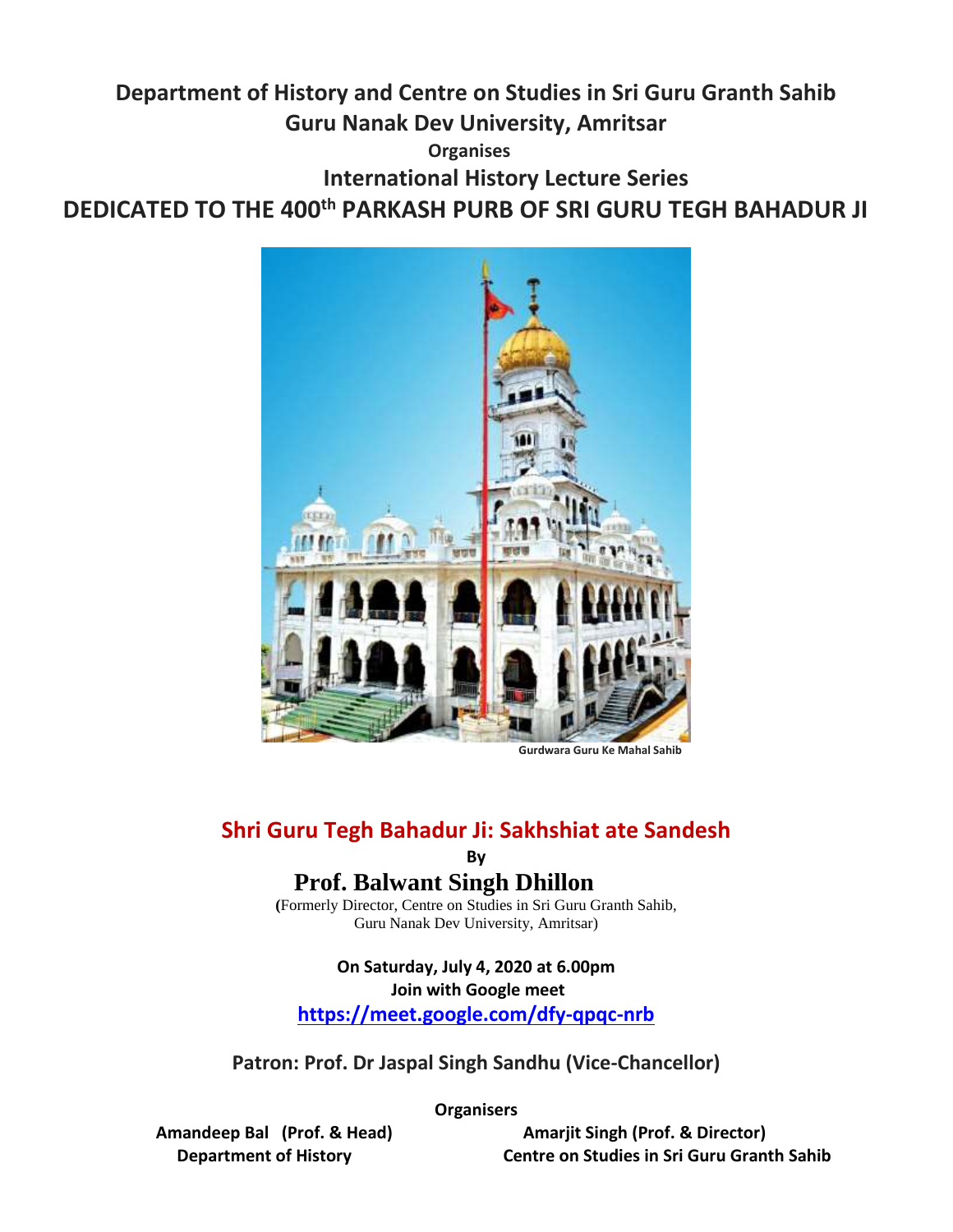## **Department of History and Centre on Studies in Sri Guru Granth Sahib Guru Nanak Dev University, Amritsar Organises International History Lecture Series DEDICATED TO THE 400th PARKASH PURB OF SRI GURU TEGH BAHADUR JI**



 **Gurdwara Guru Ke Mahal Sahib**

#### **Shri Guru Tegh Bahadur Ji: Sakhshiat ate Sandesh**

**By**

### **Prof. Balwant Singh Dhillon**

**(**Formerly Director, Centre on Studies in Sri Guru Granth Sahib, Guru Nanak Dev University, Amritsar)

#### **On Saturday, July 4, 2020 at 6.00pm Join with Google meet**

**<https://meet.google.com/dfy-qpqc-nrb>**

**Patron: Prof. Dr Jaspal Singh Sandhu (Vice-Chancellor)**

**Organisers**

 **Amandeep Bal (Prof. & Head) Amarjit Singh (Prof. & Director) Department of History Centre on Studies in Sri Guru Granth Sahib**